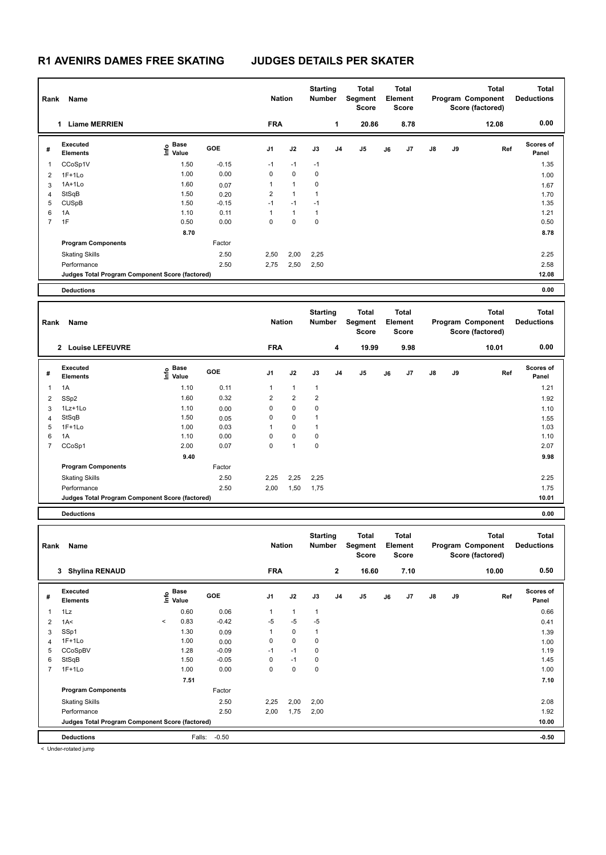## **R1 AVENIRS DAMES FREE SKATING JUDGES DETAILS PER SKATER**

| Rank                    | Name                                            |                                         |         | <b>Nation</b>           |                  | <b>Starting</b><br><b>Number</b> |          | <b>Total</b><br>Segment<br><b>Score</b> |    | <b>Total</b><br>Element<br>Score        |    |    | <b>Total</b><br>Program Component<br>Score (factored) | Total<br><b>Deductions</b>        |
|-------------------------|-------------------------------------------------|-----------------------------------------|---------|-------------------------|------------------|----------------------------------|----------|-----------------------------------------|----|-----------------------------------------|----|----|-------------------------------------------------------|-----------------------------------|
|                         | 1 Liame MERRIEN                                 |                                         |         | <b>FRA</b>              |                  |                                  | 1        | 20.86                                   |    | 8.78                                    |    |    | 12.08                                                 | 0.00                              |
| #                       | <b>Executed</b><br><b>Elements</b>              | e Base<br>⊆ Value                       | GOE     | J1                      | J2               | J3                               | J4       | J5                                      | J6 | J7                                      | J8 | J9 | Ref                                                   | <b>Scores of</b><br>Panel         |
| 1                       | CCoSp1V                                         | 1.50                                    | $-0.15$ | $-1$                    | $-1$             | $-1$                             |          |                                         |    |                                         |    |    |                                                       | 1.35                              |
| 2                       | $1F+1Lo$                                        | 1.00                                    | 0.00    | 0                       | $\pmb{0}$        | 0                                |          |                                         |    |                                         |    |    |                                                       | 1.00                              |
| 3                       | $1A+1Lo$                                        | 1.60                                    | 0.07    | $\mathbf{1}$            | $\mathbf{1}$     | 0                                |          |                                         |    |                                         |    |    |                                                       | 1.67                              |
| 4                       | StSqB                                           | 1.50                                    | 0.20    | $\overline{2}$          | $\mathbf{1}$     | $\mathbf{1}$                     |          |                                         |    |                                         |    |    |                                                       | 1.70                              |
| 5                       | <b>CUSpB</b>                                    | 1.50                                    | $-0.15$ | $-1$                    | $-1$             | $-1$                             |          |                                         |    |                                         |    |    |                                                       | 1.35                              |
| 6                       | 1A                                              | 1.10                                    | 0.11    | $\mathbf{1}$            | $\mathbf{1}$     | $\mathbf{1}$                     |          |                                         |    |                                         |    |    |                                                       | 1.21                              |
| $\overline{7}$          | 1F                                              | 0.50                                    | 0.00    | $\mathbf 0$             | $\mathbf 0$      | $\mathbf 0$                      |          |                                         |    |                                         |    |    |                                                       | 0.50                              |
|                         |                                                 | 8.70                                    |         |                         |                  |                                  |          |                                         |    |                                         |    |    |                                                       | 8.78                              |
|                         | <b>Program Components</b>                       |                                         | Factor  |                         |                  |                                  |          |                                         |    |                                         |    |    |                                                       |                                   |
|                         | <b>Skating Skills</b>                           |                                         | 2.50    | 2,50                    | 2,00             | 2,25                             |          |                                         |    |                                         |    |    |                                                       | 2.25                              |
|                         | Performance                                     |                                         | 2.50    | 2,75                    | 2,50             | 2,50                             |          |                                         |    |                                         |    |    |                                                       | 2.58                              |
|                         | Judges Total Program Component Score (factored) |                                         |         |                         |                  |                                  |          |                                         |    |                                         |    |    |                                                       | 12.08                             |
|                         | <b>Deductions</b>                               |                                         |         |                         |                  |                                  |          |                                         |    |                                         |    |    |                                                       | 0.00                              |
|                         |                                                 |                                         |         |                         |                  |                                  |          |                                         |    |                                         |    |    |                                                       |                                   |
| Rank                    | Name                                            |                                         |         | <b>Nation</b>           |                  | <b>Starting</b><br><b>Number</b> |          | Total<br>Segment<br><b>Score</b>        |    | <b>Total</b><br>Element<br><b>Score</b> |    |    | <b>Total</b><br>Program Component<br>Score (factored) | <b>Total</b><br><b>Deductions</b> |
|                         | 2 Louise LEFEUVRE                               |                                         |         | <b>FRA</b>              |                  |                                  | 4        | 19.99                                   |    | 9.98                                    |    |    | 10.01                                                 | 0.00                              |
| #                       | <b>Executed</b><br><b>Elements</b>              | $\frac{e}{E}$ Base<br>E Value           | GOE     | J1                      | J2               | J3                               | J4       | J5                                      | J6 | J7                                      | J8 | J9 | Ref                                                   | <b>Scores of</b><br>Panel         |
| 1                       | 1A                                              | 1.10                                    | 0.11    | 1                       | $\mathbf{1}$     | $\mathbf{1}$                     |          |                                         |    |                                         |    |    |                                                       | 1.21                              |
| 2                       | SSp2                                            | 1.60                                    | 0.32    | $\overline{\mathbf{c}}$ | $\boldsymbol{2}$ | $\overline{\mathbf{c}}$          |          |                                         |    |                                         |    |    |                                                       | 1.92                              |
| 3                       | 1Lz+1Lo                                         | 1.10                                    | 0.00    | 0                       | $\mathbf 0$      | $\mathbf 0$                      |          |                                         |    |                                         |    |    |                                                       | 1.10                              |
| 4                       | StSqB                                           | 1.50                                    | 0.05    | $\mathbf 0$             | $\mathbf 0$      | $\mathbf{1}$                     |          |                                         |    |                                         |    |    |                                                       | 1.55                              |
| 5                       | $1F+1Lo$                                        | 1.00                                    | 0.03    | $\mathbf{1}$            | $\mathbf 0$      | $\mathbf{1}$                     |          |                                         |    |                                         |    |    |                                                       | 1.03                              |
| 6                       | 1A                                              | 1.10                                    | 0.00    | 0                       | $\pmb{0}$        | 0                                |          |                                         |    |                                         |    |    |                                                       | 1.10                              |
| $\overline{7}$          | CCoSp1                                          | 2.00                                    | 0.07    | 0                       | $\mathbf{1}$     | 0                                |          |                                         |    |                                         |    |    |                                                       | 2.07                              |
|                         |                                                 | 9.40                                    |         |                         |                  |                                  |          |                                         |    |                                         |    |    |                                                       | 9.98                              |
|                         | <b>Program Components</b>                       |                                         | Factor  |                         |                  |                                  |          |                                         |    |                                         |    |    |                                                       |                                   |
|                         | <b>Skating Skills</b>                           |                                         | 2.50    | 2,25                    | 2,25             | 2,25                             |          |                                         |    |                                         |    |    |                                                       | 2.25                              |
|                         | Performance                                     |                                         | 2.50    | 2,00                    | 1,50             | 1,75                             |          |                                         |    |                                         |    |    |                                                       | 1.75                              |
|                         | Judges Total Program Component Score (factored) |                                         |         |                         |                  |                                  |          |                                         |    |                                         |    |    |                                                       | 10.01                             |
|                         | <b>Deductions</b>                               |                                         |         |                         |                  |                                  |          |                                         |    |                                         |    |    |                                                       | 0.00                              |
|                         |                                                 |                                         |         |                         |                  |                                  |          |                                         |    |                                         |    |    |                                                       |                                   |
|                         | Rank Name                                       |                                         |         | <b>Nation</b>           |                  | <b>Starting</b><br><b>Number</b> |          | <b>Total</b><br>Segment<br>Score        |    | <b>Total</b><br>Element<br><b>Score</b> |    |    | <b>Total</b><br>Program Component<br>Score (factored) | <b>Total</b><br><b>Deductions</b> |
|                         | 3 Shylina RENAUD                                |                                         |         | <b>FRA</b>              |                  |                                  | $\bf{2}$ | 16.60                                   |    | 7.10                                    |    |    | 10.00                                                 | 0.50                              |
|                         | <b>Executed</b>                                 |                                         |         |                         |                  |                                  |          |                                         |    |                                         |    |    |                                                       | Scores of                         |
| #                       | <b>Elements</b>                                 | $\mathsf{E}$ Base<br>$\mathsf{E}$ Value | GOE     | J1                      | J2               | $\mathsf{J3}$                    | J4       | J5                                      | J6 | J7                                      | J8 | J9 | Ref                                                   | Panel                             |
| 1                       | 1Lz                                             | 0.60                                    | 0.06    | $\mathbf{1}$            | $\mathbf{1}$     | $\mathbf{1}$                     |          |                                         |    |                                         |    |    |                                                       | 0.66                              |
| $\overline{\mathbf{c}}$ | 1A<                                             | 0.83<br>$\overline{\phantom{a}}$        | $-0.42$ | $-5$                    | $-5$             | $-5$                             |          |                                         |    |                                         |    |    |                                                       | 0.41                              |
| 3                       | SSp1                                            | 1.30                                    | 0.09    | 1                       | 0                | $\mathbf{1}$                     |          |                                         |    |                                         |    |    |                                                       | 1.39                              |
| 4                       | $1F+1Lo$                                        | 1.00                                    | 0.00    | $\pmb{0}$               | $\pmb{0}$        | 0                                |          |                                         |    |                                         |    |    |                                                       | 1.00                              |
| 5                       | CCoSpBV                                         | 1.28                                    | $-0.09$ | $-1$                    | $-1$             | 0                                |          |                                         |    |                                         |    |    |                                                       | 1.19                              |
| 6                       | StSqB                                           | 1.50                                    | $-0.05$ | $\mathsf 0$             | $-1$             | $\pmb{0}$                        |          |                                         |    |                                         |    |    |                                                       | 1.45                              |
| $\overline{7}$          | $1F+1Lo$                                        | 1.00                                    | 0.00    | $\pmb{0}$               | $\pmb{0}$        | $\pmb{0}$                        |          |                                         |    |                                         |    |    |                                                       | 1.00                              |
|                         |                                                 | 7.51                                    |         |                         |                  |                                  |          |                                         |    |                                         |    |    |                                                       | 7.10                              |
|                         | <b>Program Components</b>                       |                                         | Factor  |                         |                  |                                  |          |                                         |    |                                         |    |    |                                                       |                                   |
|                         | <b>Skating Skills</b>                           |                                         | 2.50    |                         | 2,25 2,00 2,00   |                                  |          |                                         |    |                                         |    |    |                                                       | 2.08                              |

Performance 2.50 2.50 2.00 1,75 2,00 2.00 2.00 2.00 2.00 2.00 2.00 2.02 2.00 2.02 2.02 2.02 2.02 2.02 2.02 2.0

**Deductions** Falls: -0.50 **-0.50 Judges Total Program Component Score (factored) 10.00**

< Under-rotated jump